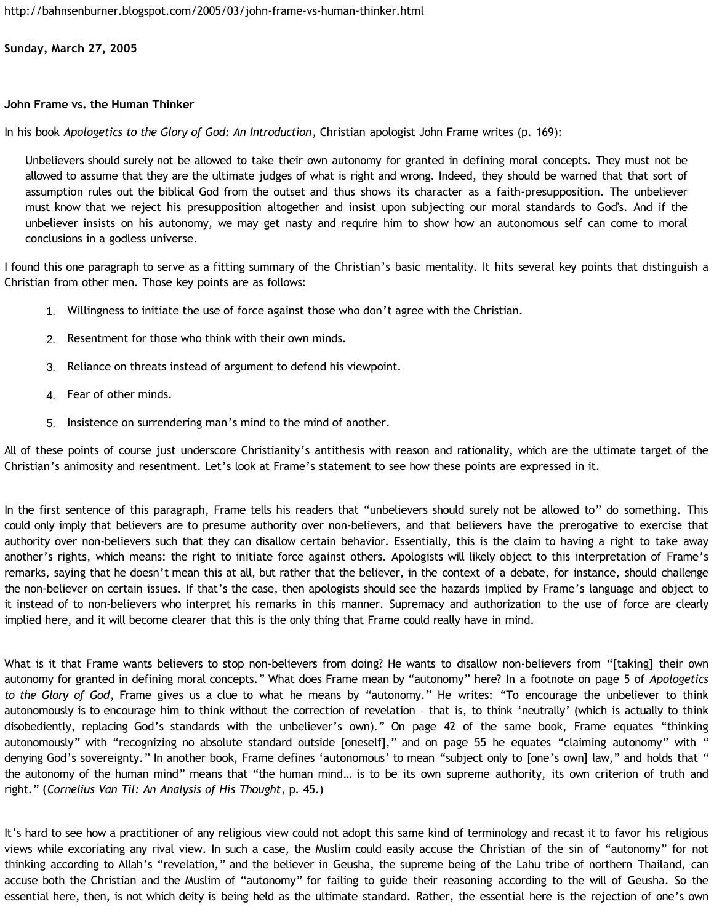<http://bahnsenburner.blogspot.com/2005/03/john-frame-vs-human-thinker.html>

**Sunday, March 27, 2005**

## **John Frame vs. the Human Thinker**

In his book *Apologetics to the Glory of God: An Introduction*, Christian apologist John Frame writes (p. 169):

Unbelievers should surely not be allowed to take their own autonomy for granted in defining moral concepts. They must not be allowed to assume that they are the ultimate judges of what is right and wrong. Indeed, they should be warned that that sort of assumption rules out the biblical God from the outset and thus shows its character as a faith-presupposition. The unbeliever must know that we reject his presupposition altogether and insist upon subjecting our moral standards to God's. And if the unbeliever insists on his autonomy, we may get nasty and require him to show how an autonomous self can come to moral conclusions in a godless universe.

I found this one paragraph to serve as a fitting summary of the Christian's basic mentality. It hits several key points that distinguish a Christian from other men. Those key points are as follows:

- 1. Willingness to initiate the use of force against those who don't agree with the Christian.
- 2. Resentment for those who think with their own minds.
- 3. Reliance on threats instead of argument to defend his viewpoint.
- 4. Fear of other minds.
- 5. Insistence on surrendering man's mind to the mind of another.

All of these points of course just underscore Christianity's antithesis with reason and rationality, which are the ultimate target of the Christian's animosity and resentment. Let's look at Frame's statement to see how these points are expressed in it.

In the first sentence of this paragraph, Frame tells his readers that "unbelievers should surely not be allowed to" do something. This could only imply that believers are to presume authority over non-believers, and that believers have the prerogative to exercise that authority over non-believers such that they can disallow certain behavior. Essentially, this is the claim to having a right to take away another's rights, which means: the right to initiate force against others. Apologists will likely object to this interpretation of Frame's remarks, saying that he doesn't mean this at all, but rather that the believer, in the context of a debate, for instance, should challenge the non-believer on certain issues. If that's the case, then apologists should see the hazards implied by Frame's language and object to it instead of to non-believers who interpret his remarks in this manner. Supremacy and authorization to the use of force are clearly implied here, and it will become clearer that this is the only thing that Frame could really have in mind.

What is it that Frame wants believers to stop non-believers from doing? He wants to disallow non-believers from "[taking] their own autonomy for granted in defining moral concepts." What does Frame mean by "autonomy" here? In a footnote on page 5 of *Apologetics to the Glory of God*, Frame gives us a clue to what he means by "autonomy." He writes: "To encourage the unbeliever to think autonomously is to encourage him to think without the correction of revelation – that is, to think 'neutrally' (which is actually to think disobediently, replacing God's standards with the unbeliever's own)." On page 42 of the same book, Frame equates "thinking autonomously" with "recognizing no absolute standard outside [oneself]," and on page 55 he equates "claiming autonomy" with " denying God's sovereignty." In another book, Frame defines 'autonomous' to mean "subject only to [one's own] law," and holds that " the autonomy of the human mind" means that "the human mind… is to be its own supreme authority, its own criterion of truth and right." (*Cornelius Van Til: An Analysis of His Thought*, p. 45.)

It's hard to see how a practitioner of any religious view could not adopt this same kind of terminology and recast it to favor his religious views while excoriating any rival view. In such a case, the Muslim could easily accuse the Christian of the sin of "autonomy" for not thinking according to Allah's "revelation," and the believer in Geusha, the supreme being of the Lahu tribe of northern Thailand, can accuse both the Christian and the Muslim of "autonomy" for failing to guide their reasoning according to the will of Geusha. So the essential here, then, is not which deity is being held as the ultimate standard. Rather, the essential here is the rejection of one's own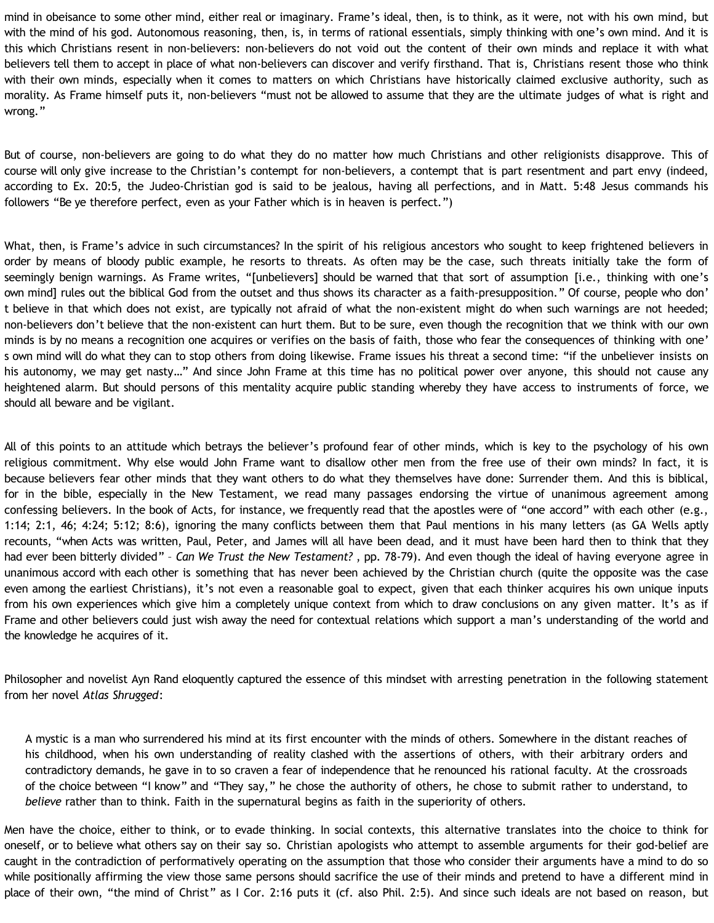mind in obeisance to some other mind, either real or imaginary. Frame's ideal, then, is to think, as it were, not with his own mind, but with the mind of his god. Autonomous reasoning, then, is, in terms of rational essentials, simply thinking with one's own mind. And it is this which Christians resent in non-believers: non-believers do not void out the content of their own minds and replace it with what believers tell them to accept in place of what non-believers can discover and verify firsthand. That is, Christians resent those who think with their own minds, especially when it comes to matters on which Christians have historically claimed exclusive authority, such as morality. As Frame himself puts it, non-believers "must not be allowed to assume that they are the ultimate judges of what is right and wrong."

But of course, non-believers are going to do what they do no matter how much Christians and other religionists disapprove. This of course will only give increase to the Christian's contempt for non-believers, a contempt that is part resentment and part envy (indeed, according to Ex. 20:5, the Judeo-Christian god is said to be jealous, having all perfections, and in Matt. 5:48 Jesus commands his followers "Be ye therefore perfect, even as your Father which is in heaven is perfect.")

What, then, is Frame's advice in such circumstances? In the spirit of his religious ancestors who sought to keep frightened believers in order by means of bloody public example, he resorts to threats. As often may be the case, such threats initially take the form of seemingly benign warnings. As Frame writes, "[unbelievers] should be warned that that sort of assumption [i.e., thinking with one's own mind] rules out the biblical God from the outset and thus shows its character as a faith-presupposition." Of course, people who don' t believe in that which does not exist, are typically not afraid of what the non-existent might do when such warnings are not heeded; non-believers don't believe that the non-existent can hurt them. But to be sure, even though the recognition that we think with our own minds is by no means a recognition one acquires or verifies on the basis of faith, those who fear the consequences of thinking with one' s own mind will do what they can to stop others from doing likewise. Frame issues his threat a second time: "if the unbeliever insists on his autonomy, we may get nasty…" And since John Frame at this time has no political power over anyone, this should not cause any heightened alarm. But should persons of this mentality acquire public standing whereby they have access to instruments of force, we should all beware and be vigilant.

All of this points to an attitude which betrays the believer's profound fear of other minds, which is key to the psychology of his own religious commitment. Why else would John Frame want to disallow other men from the free use of their own minds? In fact, it is because believers fear other minds that they want others to do what they themselves have done: Surrender them. And this is biblical, for in the bible, especially in the New Testament, we read many passages endorsing the virtue of unanimous agreement among confessing believers. In the book of Acts, for instance, we frequently read that the apostles were of "one accord" with each other (e.g., 1:14; 2:1, 46; 4:24; 5:12; 8:6), ignoring the many conflicts between them that Paul mentions in his many letters (as GA Wells aptly recounts, "when Acts was written, Paul, Peter, and James will all have been dead, and it must have been hard then to think that they had ever been bitterly divided" – *Can We Trust the New Testament?* , pp. 78-79). And even though the ideal of having everyone agree in unanimous accord with each other is something that has never been achieved by the Christian church (quite the opposite was the case even among the earliest Christians), it's not even a reasonable goal to expect, given that each thinker acquires his own unique inputs from his own experiences which give him a completely unique context from which to draw conclusions on any given matter. It's as if Frame and other believers could just wish away the need for contextual relations which support a man's understanding of the world and the knowledge he acquires of it.

Philosopher and novelist Ayn Rand eloquently captured the essence of this mindset with arresting penetration in the following statement from her novel *Atlas Shrugged*:

A mystic is a man who surrendered his mind at its first encounter with the minds of others. Somewhere in the distant reaches of his childhood, when his own understanding of reality clashed with the assertions of others, with their arbitrary orders and contradictory demands, he gave in to so craven a fear of independence that he renounced his rational faculty. At the crossroads of the choice between "I know" and "They say," he chose the authority of others, he chose to submit rather to understand, to *believe* rather than to think. Faith in the supernatural begins as faith in the superiority of others.

Men have the choice, either to think, or to evade thinking. In social contexts, this alternative translates into the choice to think for oneself, or to believe what others say on their say so. Christian apologists who attempt to assemble arguments for their god-belief are caught in the contradiction of performatively operating on the assumption that those who consider their arguments have a mind to do so while positionally affirming the view those same persons should sacrifice the use of their minds and pretend to have a different mind in place of their own, "the mind of Christ" as I Cor. 2:16 puts it (cf. also Phil. 2:5). And since such ideals are not based on reason, but